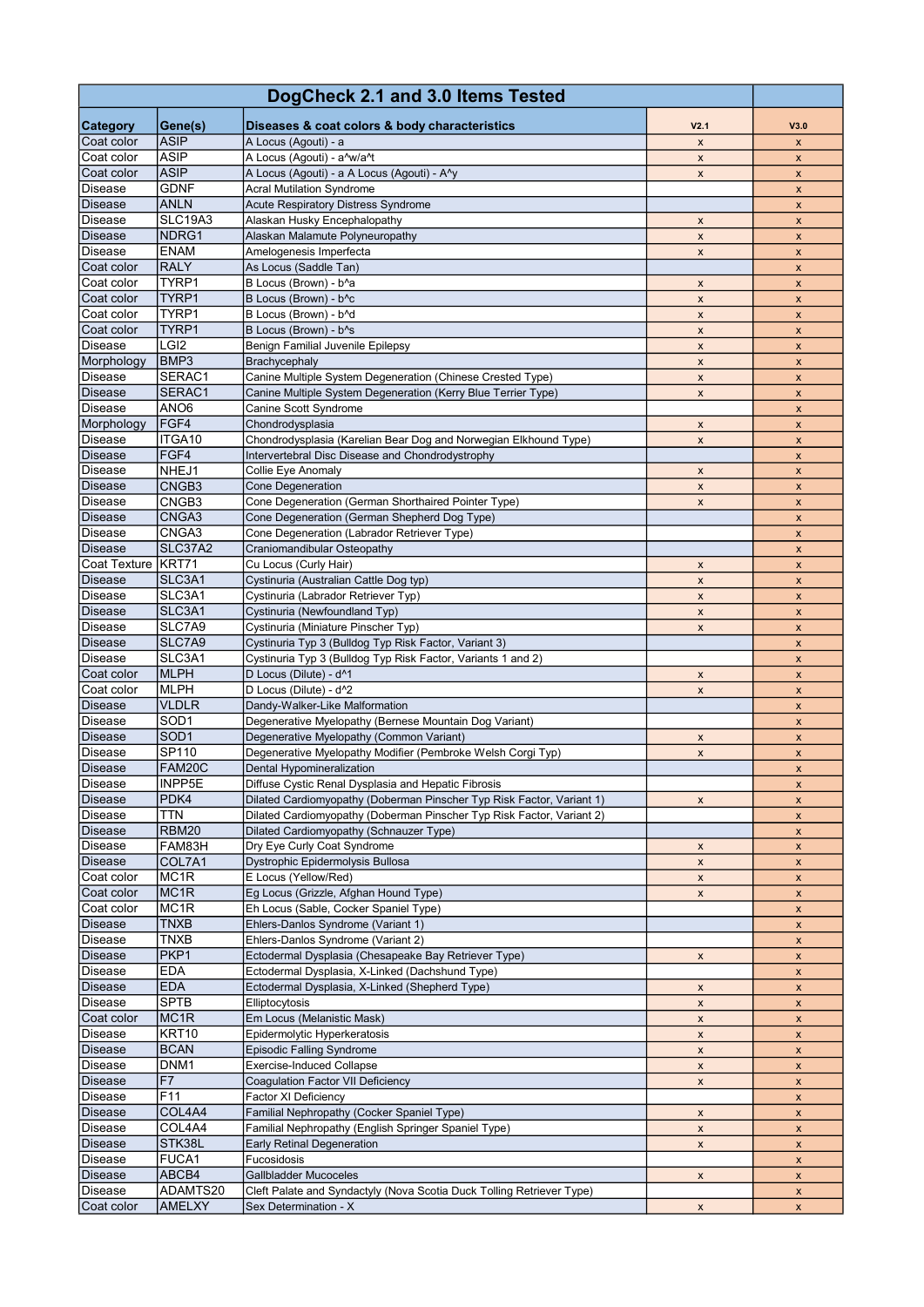| DogCheck 2.1 and 3.0 Items Tested |                                  |                                                                                                         |                           |                                          |
|-----------------------------------|----------------------------------|---------------------------------------------------------------------------------------------------------|---------------------------|------------------------------------------|
| <b>Category</b>                   | Gene(s)                          | Diseases & coat colors & body characteristics                                                           | V <sub>2.1</sub>          | V3.0                                     |
| Coat color<br>Coat color          | <b>ASIP</b><br><b>ASIP</b>       | A Locus (Agouti) - a<br>A Locus (Agouti) - a^w/a^t                                                      | $\mathsf{x}$              | $\mathsf{x}$                             |
| Coat color                        | <b>ASIP</b>                      | A Locus (Agouti) - a A Locus (Agouti) - A <sup>N</sup>                                                  | X<br>X                    | $\pmb{\mathsf{x}}$<br>$\pmb{\mathsf{x}}$ |
| Disease                           | <b>GDNF</b>                      | <b>Acral Mutilation Syndrome</b>                                                                        |                           | X                                        |
| <b>Disease</b>                    | <b>ANLN</b>                      | <b>Acute Respiratory Distress Syndrome</b>                                                              |                           | X                                        |
| Disease                           | <b>SLC19A3</b>                   | Alaskan Husky Encephalopathy                                                                            | X                         | X                                        |
| Disease                           | NDRG1                            | Alaskan Malamute Polyneuropathy                                                                         | $\pmb{\times}$            | $\pmb{\mathsf{x}}$                       |
| <b>Disease</b>                    | <b>ENAM</b>                      | Amelogenesis Imperfecta                                                                                 | X                         | X                                        |
| Coat color                        | <b>RALY</b><br>TYRP <sub>1</sub> | As Locus (Saddle Tan)                                                                                   |                           | X                                        |
| Coat color<br>Coat color          | TYRP1                            | B Locus (Brown) - b^a<br>B Locus (Brown) - b^c                                                          | X<br>X                    | $\pmb{\mathsf{x}}$                       |
| Coat color                        | TYRP1                            | B Locus (Brown) - b^d                                                                                   | X                         | X<br>$\pmb{\times}$                      |
| Coat color                        | TYRP1                            | B Locus (Brown) - b <sup>A</sup> s                                                                      | $\pmb{\mathsf{x}}$        | $\pmb{\mathsf{x}}$                       |
| Disease                           | LGI <sub>2</sub>                 | <b>Benign Familial Juvenile Epilepsy</b>                                                                | $\pmb{\mathsf{x}}$        | X                                        |
| Morphology                        | BMP3                             | <b>Brachycephaly</b>                                                                                    | X                         | $\boldsymbol{x}$                         |
| Disease                           | SERAC1                           | Canine Multiple System Degeneration (Chinese Crested Type)                                              | X                         | X                                        |
| Disease                           | SERAC1                           | Canine Multiple System Degeneration (Kerry Blue Terrier Type)                                           | $\mathsf X$               | X                                        |
| <b>Disease</b><br>Morphology      | ANO <sub>6</sub>                 | Canine Scott Syndrome                                                                                   |                           | X                                        |
| Disease                           | FGF4<br>ITGA10                   | Chondrodysplasia<br>Chondrodysplasia (Karelian Bear Dog and Norwegian Elkhound Type)                    | X<br>$\pmb{\mathsf{x}}$   | $\pmb{\times}$<br>X                      |
| <b>Disease</b>                    | FGF4                             | Intervertebral Disc Disease and Chondrodystrophy                                                        |                           | $\pmb{\mathsf{x}}$                       |
| <b>Disease</b>                    | NHEJ1                            | Collie Eye Anomaly                                                                                      | X                         | X                                        |
| Disease                           | CNGB <sub>3</sub>                | Cone Degeneration                                                                                       | X                         | X                                        |
| <b>Disease</b>                    | CNGB3                            | Cone Degeneration (German Shorthaired Pointer Type)                                                     | $\pmb{\mathsf{x}}$        | $\pmb{\mathsf{x}}$                       |
| <b>Disease</b>                    | CNGA3                            | Cone Degeneration (German Shepherd Dog Type)                                                            |                           | X                                        |
| Disease                           | CNGA3                            | Cone Degeneration (Labrador Retriever Type)                                                             |                           | X                                        |
| <b>Disease</b>                    | SLC37A2                          | Craniomandibular Osteopathy                                                                             |                           | $\pmb{\mathsf{x}}$                       |
| Coat Texture<br>Disease           | KRT71<br>SLC3A1                  | Cu Locus (Curly Hair)<br>Cystinuria (Australian Cattle Dog typ)                                         | X<br>X                    | X                                        |
| Disease                           | SLC3A1                           | Cystinuria (Labrador Retriever Typ)                                                                     | X                         | X<br>X                                   |
| <b>Disease</b>                    | SLC3A1                           | Cystinuria (Newfoundland Typ)                                                                           | X                         | X                                        |
| Disease                           | SLC7A9                           | Cystinuria (Miniature Pinscher Typ)                                                                     | $\pmb{\mathsf{x}}$        | $\pmb{\mathsf{x}}$                       |
| <b>Disease</b>                    | SLC7A9                           | Cystinuria Typ 3 (Bulldog Typ Risk Factor, Variant 3)                                                   |                           | X                                        |
| Disease                           | SLC3A1                           | Cystinuria Typ 3 (Bulldog Typ Risk Factor, Variants 1 and 2)                                            |                           | $\boldsymbol{x}$                         |
| Coat color<br>Coat color          | <b>MLPH</b>                      | D Locus (Dilute) - d^1<br>D Locus (Dilute) - d^2                                                        | $\pmb{\mathsf{x}}$        | $\pmb{\mathsf{x}}$                       |
| <b>Disease</b>                    | <b>MLPH</b><br><b>VLDLR</b>      | Dandy-Walker-Like Malformation                                                                          | X                         | X<br>$\pmb{\times}$                      |
| Disease                           | SOD <sub>1</sub>                 | Degenerative Myelopathy (Bernese Mountain Dog Variant)                                                  |                           | $\pmb{\mathsf{x}}$                       |
| Disease                           | SOD <sub>1</sub>                 | Degenerative Myelopathy (Common Variant)                                                                | $\pmb{\mathsf{x}}$        | X                                        |
| <b>Disease</b>                    | SP110                            | Degenerative Myelopathy Modifier (Pembroke Welsh Corgi Typ)                                             | X                         | $\pmb{\times}$                           |
| Disease                           | FAM20C                           | Dental Hypomineralization                                                                               |                           | X                                        |
| Disease                           | INPP5E                           | Diffuse Cystic Renal Dysplasia and Hepatic Fibrosis                                                     |                           | X                                        |
| <b>Disease</b>                    | PDK4                             | Dilated Cardiomyopathy (Doberman Pinscher Typ Risk Factor, Variant 1)                                   | $\pmb{\mathsf{x}}$        | $\pmb{\mathsf{x}}$                       |
| Disease<br>Disease                | TTN<br>RBM20                     | Dilated Cardiomyopathy (Doberman Pinscher Typ Risk Factor, Variant 2)                                   |                           | X                                        |
| Disease                           | FAM83H                           | Dilated Cardiomyopathy (Schnauzer Type)<br>Dry Eye Curly Coat Syndrome                                  | $\pmb{\mathsf{x}}$        | X<br>X                                   |
| <b>Disease</b>                    | COL7A1                           | Dystrophic Epidermolysis Bullosa                                                                        | $\pmb{\mathsf{x}}$        | X                                        |
| Coat color                        | MC <sub>1R</sub>                 | E Locus (Yellow/Red)                                                                                    | $\mathsf{x}$              | X                                        |
| Coat color                        | MC <sub>1R</sub>                 | Eg Locus (Grizzle, Afghan Hound Type)                                                                   | $\pmb{\mathsf{x}}$        | $\pmb{\mathsf{x}}$                       |
| Coat color                        | MC <sub>1R</sub>                 | Eh Locus (Sable, Cocker Spaniel Type)                                                                   |                           | X                                        |
| Disease                           | <b>TNXB</b>                      | Ehlers-Danlos Syndrome (Variant 1)                                                                      |                           | X                                        |
| Disease                           | <b>TNXB</b>                      | Ehlers-Danlos Syndrome (Variant 2)                                                                      |                           | X                                        |
| Disease<br><b>Disease</b>         | PKP1<br><b>EDA</b>               | Ectodermal Dysplasia (Chesapeake Bay Retriever Type)<br>Ectodermal Dysplasia, X-Linked (Dachshund Type) | $\pmb{\mathsf{x}}$        | X<br>$\boldsymbol{\mathsf{X}}$           |
| <b>Disease</b>                    | <b>EDA</b>                       | Ectodermal Dysplasia, X-Linked (Shepherd Type)                                                          | $\pmb{\mathsf{x}}$        | $\pmb{\mathsf{x}}$                       |
| Disease                           | <b>SPTB</b>                      | Elliptocytosis                                                                                          | X                         | X                                        |
| Coat color                        | MC <sub>1R</sub>                 | Em Locus (Melanistic Mask)                                                                              | $\pmb{\mathsf{x}}$        | $\pmb{\mathsf{x}}$                       |
| Disease                           | KRT10                            | Epidermolytic Hyperkeratosis                                                                            | X                         | X                                        |
| <b>Disease</b>                    | <b>BCAN</b>                      | <b>Episodic Falling Syndrome</b>                                                                        | X                         | $\boldsymbol{x}$                         |
| Disease                           | DNM1                             | <b>Exercise-Induced Collapse</b>                                                                        | $\mathsf X$               | $\boldsymbol{\mathsf{X}}$                |
| Disease                           | F7<br>F11                        | <b>Coagulation Factor VII Deficiency</b>                                                                | $\mathsf X$               | X                                        |
| Disease<br><b>Disease</b>         | COL4A4                           | Factor XI Deficiency<br>Familial Nephropathy (Cocker Spaniel Type)                                      | X                         | X<br>X                                   |
| Disease                           | COL4A4                           | Familial Nephropathy (English Springer Spaniel Type)                                                    | $\mathsf X$               | X                                        |
| Disease                           | STK38L                           | <b>Early Retinal Degeneration</b>                                                                       | X                         | X                                        |
| Disease                           | FUCA1                            | Fucosidosis                                                                                             |                           | X                                        |
| Disease                           | ABCB4                            | <b>Gallbladder Mucoceles</b>                                                                            | $\boldsymbol{\mathsf{X}}$ | X                                        |
| Disease                           | ADAMTS20                         | Cleft Palate and Syndactyly (Nova Scotia Duck Tolling Retriever Type)                                   |                           | $\pmb{\mathsf{x}}$                       |
| Coat color                        | <b>AMELXY</b>                    | Sex Determination - X                                                                                   | X                         | X                                        |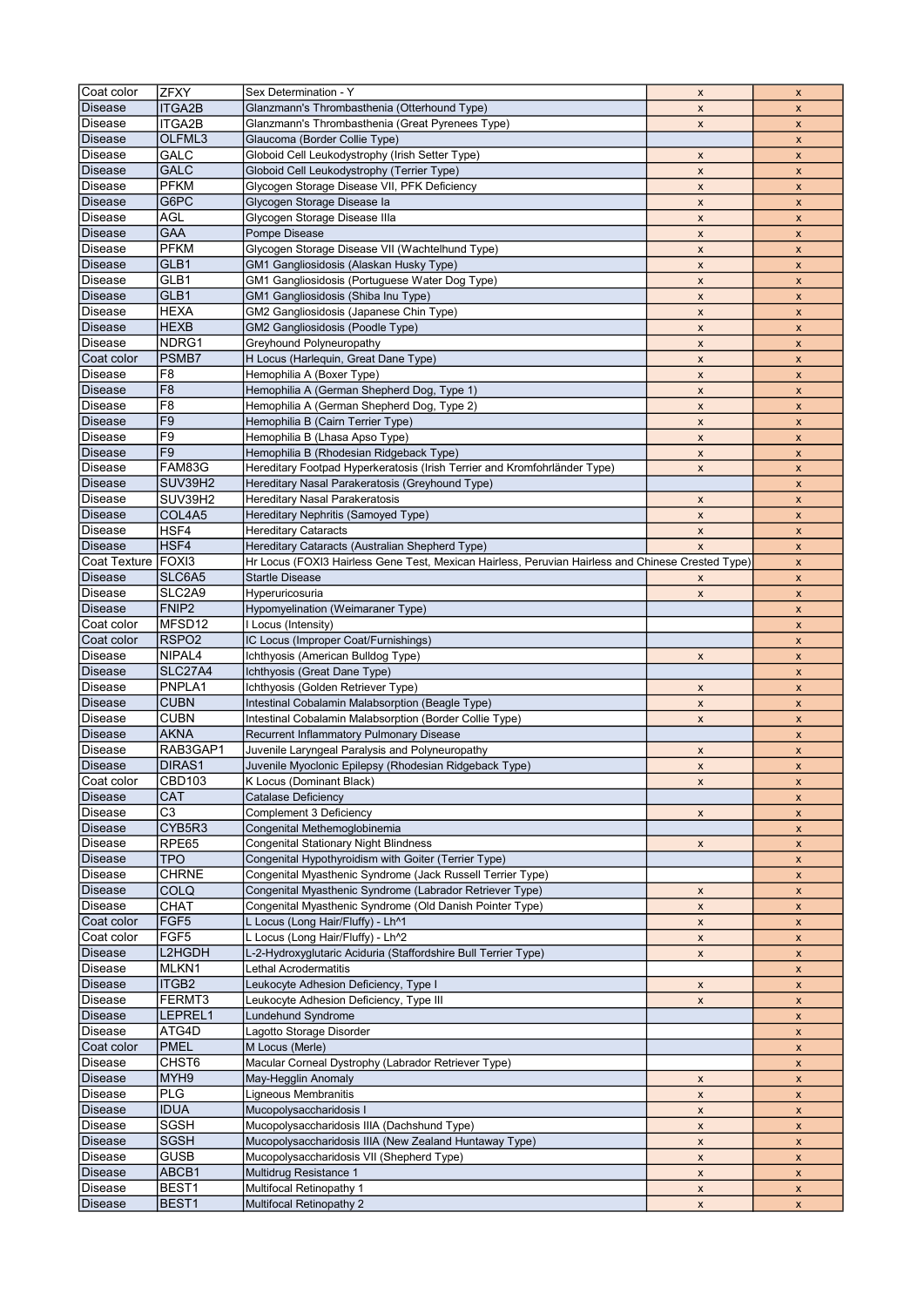| Coat color                | <b>ZFXY</b>                | Sex Determination - Y                                                                             | $\pmb{\mathsf{x}}$        | X                         |
|---------------------------|----------------------------|---------------------------------------------------------------------------------------------------|---------------------------|---------------------------|
| <b>Disease</b>            |                            |                                                                                                   |                           |                           |
|                           | <b>ITGA2B</b>              | Glanzmann's Thrombasthenia (Otterhound Type)                                                      | X                         | X                         |
| Disease                   | ITGA2B                     | Glanzmann's Thrombasthenia (Great Pyrenees Type)                                                  | X                         | X                         |
| <b>Disease</b>            | OLFML3                     | Glaucoma (Border Collie Type)                                                                     |                           | $\pmb{\mathsf{x}}$        |
| <b>Disease</b>            | GALC                       | Globoid Cell Leukodystrophy (Irish Setter Type)                                                   | X                         | X                         |
| <b>Disease</b>            | GALC                       | Globoid Cell Leukodystrophy (Terrier Type)                                                        |                           |                           |
|                           |                            |                                                                                                   | $\pmb{\mathsf{x}}$        | X                         |
| <b>Disease</b>            | <b>PFKM</b>                | Glycogen Storage Disease VII, PFK Deficiency                                                      | $\pmb{\mathsf{x}}$        | $\pmb{\mathsf{x}}$        |
| <b>Disease</b>            | G6PC                       | Glycogen Storage Disease la                                                                       | X                         | X                         |
| Disease                   | <b>AGL</b>                 | Glycogen Storage Disease Illa                                                                     | X                         | X                         |
| <b>Disease</b>            | <b>GAA</b>                 | Pompe Disease                                                                                     | $\pmb{\mathsf{x}}$        | $\pmb{\mathsf{x}}$        |
|                           | PFKM                       |                                                                                                   |                           |                           |
| <b>Disease</b>            |                            | Glycogen Storage Disease VII (Wachtelhund Type)                                                   | X                         | $\pmb{\mathsf{x}}$        |
| <b>Disease</b>            | GLB1                       | GM1 Gangliosidosis (Alaskan Husky Type)                                                           | X                         | X                         |
| <b>Disease</b>            | GLB1                       | GM1 Gangliosidosis (Portuguese Water Dog Type)                                                    | X                         | X                         |
| <b>Disease</b>            | GLB1                       | GM1 Gangliosidosis (Shiba Inu Type)                                                               | $\pmb{\mathsf{x}}$        | X                         |
|                           | <b>HEXA</b>                |                                                                                                   |                           |                           |
| <b>Disease</b>            |                            | GM2 Gangliosidosis (Japanese Chin Type)                                                           | $\pmb{\mathsf{x}}$        | $\pmb{\mathsf{x}}$        |
| <b>Disease</b>            | <b>HEXB</b>                | GM2 Gangliosidosis (Poodle Type)                                                                  | X                         | X                         |
| Disease                   | NDRG1                      | Greyhound Polyneuropathy                                                                          | $\pmb{\mathsf{x}}$        | X                         |
| Coat color                | PSMB7                      | H Locus (Harlequin, Great Dane Type)                                                              | $\pmb{\mathsf{x}}$        | $\pmb{\mathsf{x}}$        |
| <b>Disease</b>            | F8                         | Hemophilia A (Boxer Type)                                                                         |                           |                           |
|                           |                            |                                                                                                   | X                         | X                         |
| <b>Disease</b>            | F <sub>8</sub>             | Hemophilia A (German Shepherd Dog, Type 1)                                                        | X                         | $\boldsymbol{x}$          |
| <b>Disease</b>            | F <sub>8</sub>             | Hemophilia A (German Shepherd Dog, Type 2)                                                        | $\pmb{\mathsf{x}}$        | $\pmb{\mathsf{x}}$        |
| <b>Disease</b>            | F <sub>9</sub>             | Hemophilia B (Cairn Terrier Type)                                                                 | X                         | X                         |
| Disease                   | F <sub>9</sub>             | Hemophilia B (Lhasa Apso Type)                                                                    | X                         |                           |
|                           |                            |                                                                                                   |                           | X                         |
| <b>Disease</b>            | F <sub>9</sub>             | Hemophilia B (Rhodesian Ridgeback Type)                                                           | X                         | X                         |
| Disease                   | FAM83G                     | Hereditary Footpad Hyperkeratosis (Irish Terrier and Kromfohrländer Type)                         | X                         | X                         |
| <b>Disease</b>            | SUV39H2                    | Hereditary Nasal Parakeratosis (Greyhound Type)                                                   |                           | X                         |
| <b>Disease</b>            | SUV39H2                    | Hereditary Nasal Parakeratosis                                                                    | X                         | $\pmb{\times}$            |
|                           |                            |                                                                                                   |                           |                           |
| <b>Disease</b>            | COL4A5                     | Hereditary Nephritis (Samoyed Type)                                                               | $\pmb{\mathsf{x}}$        | X                         |
| Disease                   | HSF4                       | <b>Hereditary Cataracts</b>                                                                       | $\pmb{\chi}$              | $\pmb{\mathsf{x}}$        |
| <b>Disease</b>            | HSF4                       | Hereditary Cataracts (Australian Shepherd Type)                                                   | X                         | X                         |
| <b>Coat Texture</b>       | FOXI3                      | Hr Locus (FOXI3 Hairless Gene Test, Mexican Hairless, Peruvian Hairless and Chinese Crested Type) |                           | $\mathsf{x}$              |
|                           |                            |                                                                                                   |                           |                           |
| Disease                   | SLC6A5                     | <b>Startle Disease</b>                                                                            | X                         | $\pmb{\mathsf{x}}$        |
| Disease                   | SLC2A9                     | Hyperuricosuria                                                                                   | X                         | X                         |
| <b>Disease</b>            | FNIP <sub>2</sub>          | Hypomyelination (Weimaraner Type)                                                                 |                           | $\pmb{\mathsf{x}}$        |
| Coat color                | MFSD <sub>12</sub>         | I Locus (Intensity)                                                                               |                           | $\pmb{\mathsf{x}}$        |
| Coat color                | RSPO <sub>2</sub>          | IC Locus (Improper Coat/Furnishings)                                                              |                           |                           |
|                           |                            |                                                                                                   |                           | X                         |
| Disease                   | NIPAL <sub>4</sub>         | Ichthyosis (American Bulldog Type)                                                                | X                         | $\pmb{\mathsf{x}}$        |
| <b>Disease</b>            | SLC27A4                    | Ichthyosis (Great Dane Type)                                                                      |                           | X                         |
| Disease                   | PNPLA1                     | Ichthyosis (Golden Retriever Type)                                                                | X                         | X                         |
| <b>Disease</b>            | <b>CUBN</b>                | Intestinal Cobalamin Malabsorption (Beagle Type)                                                  | $\pmb{\mathsf{x}}$        | $\pmb{\mathsf{x}}$        |
|                           |                            |                                                                                                   |                           |                           |
| <b>Disease</b>            | <b>CUBN</b>                | Intestinal Cobalamin Malabsorption (Border Collie Type)                                           | X                         | X                         |
| <b>Disease</b>            | <b>AKNA</b>                | Recurrent Inflammatory Pulmonary Disease                                                          |                           | $\boldsymbol{x}$          |
| <b>Disease</b>            | RAB3GAP1                   | Juvenile Laryngeal Paralysis and Polyneuropathy                                                   | $\pmb{\mathsf{x}}$        | $\pmb{\mathsf{x}}$        |
| <b>Disease</b>            | DIRAS1                     | Juvenile Myoclonic Epilepsy (Rhodesian Ridgeback Type)                                            | $\pmb{\mathsf{x}}$        | X                         |
|                           |                            |                                                                                                   |                           |                           |
| Coat color                | <b>CBD103</b>              | K Locus (Dominant Black)                                                                          | x                         | x                         |
| <b>Disease</b>            | <b>CAT</b>                 | Catalase Deficiency                                                                               |                           | X                         |
| <b>Disease</b>            | C <sub>3</sub>             | Complement 3 Deficiency                                                                           | X                         | X                         |
| <b>Disease</b>            | CYB5R3                     | Congenital Methemoglobinemia                                                                      |                           | X                         |
|                           |                            |                                                                                                   |                           |                           |
| Disease                   | RPE65                      | <b>Congenital Stationary Night Blindness</b>                                                      |                           |                           |
| <b>Disease</b>            |                            |                                                                                                   | X                         | X                         |
|                           | <b>TPO</b>                 | Congenital Hypothyroidism with Goiter (Terrier Type)                                              |                           | X                         |
| <b>Disease</b>            | <b>CHRNE</b>               | Congenital Myasthenic Syndrome (Jack Russell Terrier Type)                                        |                           | X                         |
|                           | <b>COLQ</b>                |                                                                                                   |                           |                           |
| <b>Disease</b>            |                            | Congenital Myasthenic Syndrome (Labrador Retriever Type)                                          | X                         | X                         |
| Disease                   | CHAT                       | Congenital Myasthenic Syndrome (Old Danish Pointer Type)                                          | $\pmb{\mathsf{x}}$        | X                         |
| Coat color                | FGF <sub>5</sub>           | L Locus (Long Hair/Fluffy) - Lh^1                                                                 | $\pmb{\mathsf{x}}$        | X                         |
| Coat color                | FGF <sub>5</sub>           | L Locus (Long Hair/Fluffy) - Lh^2                                                                 | X                         | X                         |
| <b>Disease</b>            | L2HGDH                     | L-2-Hydroxyglutaric Aciduria (Staffordshire Bull Terrier Type)                                    | X                         | $\pmb{\mathsf{x}}$        |
|                           |                            |                                                                                                   |                           |                           |
| Disease                   | MLKN1                      | Lethal Acrodermatitis                                                                             |                           | X                         |
| <b>Disease</b>            | ITGB2                      | Leukocyte Adhesion Deficiency, Type I                                                             | X                         | X                         |
| <b>Disease</b>            | FERMT3                     | Leukocyte Adhesion Deficiency, Type III                                                           | $\pmb{\mathsf{X}}$        | X                         |
| <b>Disease</b>            | LEPREL1                    | Lundehund Syndrome                                                                                |                           | X                         |
|                           |                            |                                                                                                   |                           |                           |
| Disease                   | ATG4D                      | Lagotto Storage Disorder                                                                          |                           | X                         |
| Coat color                | PMEL                       | M Locus (Merle)                                                                                   |                           | X                         |
| <b>Disease</b>            | CHST6                      | Macular Corneal Dystrophy (Labrador Retriever Type)                                               |                           | X                         |
| <b>Disease</b>            | MYH9                       | May-Hegglin Anomaly                                                                               | X                         | X                         |
| <b>Disease</b>            | PLG                        | Ligneous Membranitis                                                                              | $\pmb{\mathsf{x}}$        | $\pmb{\mathsf{x}}$        |
|                           |                            |                                                                                                   |                           |                           |
| <b>Disease</b>            | <b>IDUA</b>                | Mucopolysaccharidosis I                                                                           | X                         | X                         |
| Disease                   | <b>SGSH</b>                | Mucopolysaccharidosis IIIA (Dachshund Type)                                                       | X                         | X                         |
| Disease                   | <b>SGSH</b>                | Mucopolysaccharidosis IIIA (New Zealand Huntaway Type)                                            | $\boldsymbol{\mathsf{x}}$ | $\boldsymbol{\mathsf{X}}$ |
| <b>Disease</b>            | <b>GUSB</b>                | Mucopolysaccharidosis VII (Shepherd Type)                                                         | $\boldsymbol{\mathsf{X}}$ | X                         |
|                           |                            |                                                                                                   |                           |                           |
| <b>Disease</b>            | ABCB1                      | Multidrug Resistance 1                                                                            | X                         | X                         |
| Disease<br><b>Disease</b> | BEST1<br>BEST <sub>1</sub> | Multifocal Retinopathy 1<br><b>Multifocal Retinopathy 2</b>                                       | X<br>$\pmb{\times}$       | X<br>X                    |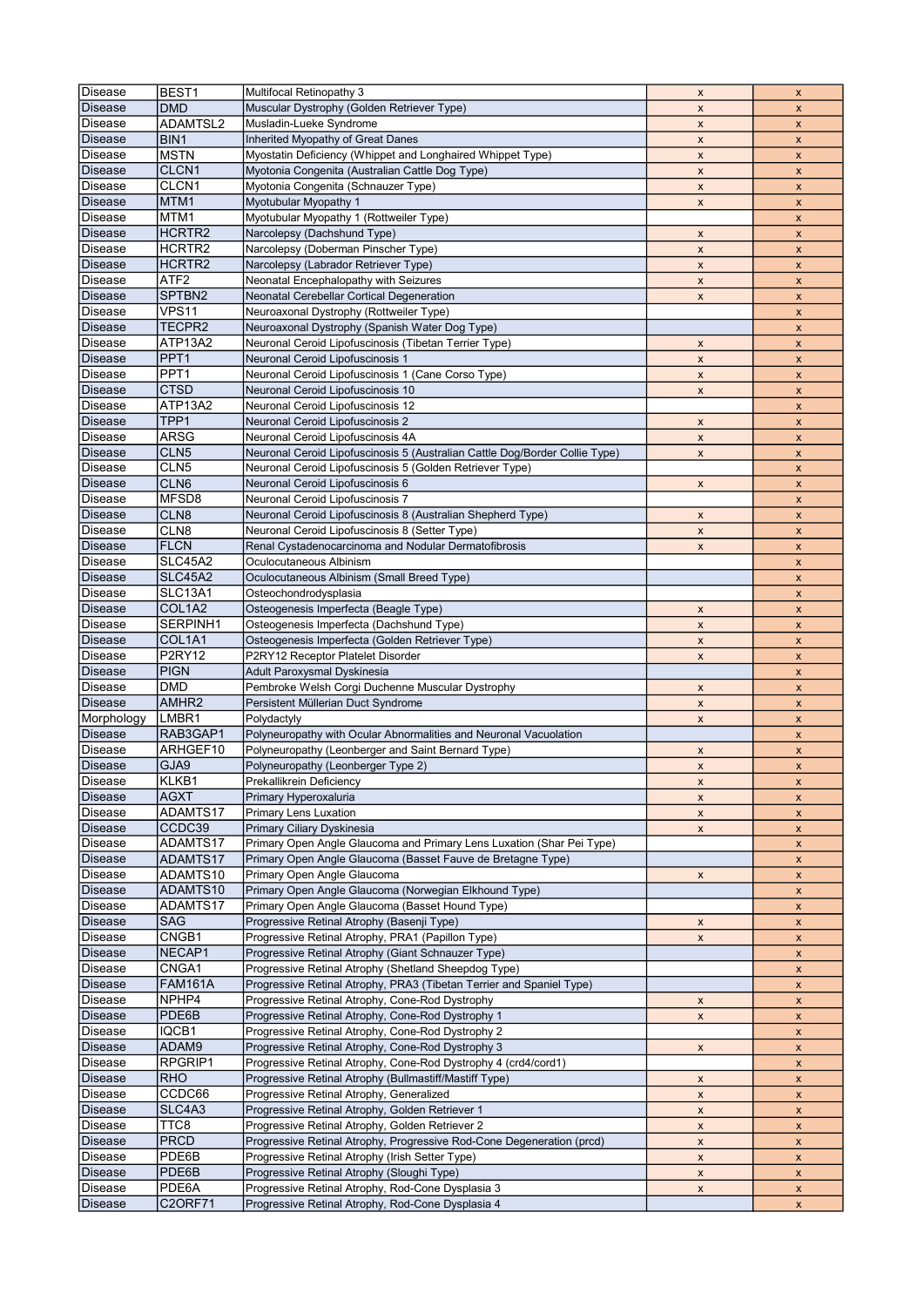| Disease        | BEST <sub>1</sub>       | Multifocal Retinopathy 3                                                    | $\pmb{\mathsf{x}}$        | $\pmb{\mathsf{x}}$        |
|----------------|-------------------------|-----------------------------------------------------------------------------|---------------------------|---------------------------|
| <b>Disease</b> | <b>DMD</b>              | Muscular Dystrophy (Golden Retriever Type)                                  | X                         | X                         |
|                |                         |                                                                             |                           |                           |
| Disease        | ADAMTSL2                | Musladin-Lueke Syndrome                                                     | X                         | X                         |
| <b>Disease</b> | BIN1                    | Inherited Myopathy of Great Danes                                           | $\pmb{\mathsf{x}}$        | $\pmb{\mathsf{x}}$        |
| Disease        | <b>MSTN</b>             | Myostatin Deficiency (Whippet and Longhaired Whippet Type)                  | $\pmb{\mathsf{x}}$        | $\pmb{\mathsf{x}}$        |
| Disease        | CLCN1                   | Myotonia Congenita (Australian Cattle Dog Type)                             | $\pmb{\mathsf{x}}$        | $\mathsf{x}$              |
| <b>Disease</b> | CLCN1                   | Myotonia Congenita (Schnauzer Type)                                         | $\pmb{\mathsf{x}}$        | $\pmb{\mathsf{x}}$        |
| <b>Disease</b> | MTM1                    | Myotubular Myopathy 1                                                       | X                         | $\pmb{\mathsf{x}}$        |
| Disease        | MTM1                    | Myotubular Myopathy 1 (Rottweiler Type)                                     |                           | $\mathsf{x}$              |
|                |                         |                                                                             |                           |                           |
| <b>Disease</b> | HCRTR2                  | Narcolepsy (Dachshund Type)                                                 | $\pmb{\mathsf{x}}$        | $\pmb{\mathsf{x}}$        |
| Disease        | HCRTR2                  | Narcolepsy (Doberman Pinscher Type)                                         | $\pmb{\mathsf{x}}$        | $\pmb{\mathsf{x}}$        |
| Disease        | HCRTR <sub>2</sub>      | Narcolepsy (Labrador Retriever Type)                                        | $\pmb{\mathsf{x}}$        | $\pmb{\mathsf{x}}$        |
| <b>Disease</b> | ATF2                    | Neonatal Encephalopathy with Seizures                                       | X                         | X                         |
| <b>Disease</b> | SPTBN2                  | Neonatal Cerebellar Cortical Degeneration                                   | X                         | X                         |
| Disease        | <b>VPS11</b>            | Neuroaxonal Dystrophy (Rottweiler Type)                                     |                           | $\pmb{\mathsf{x}}$        |
| <b>Disease</b> | TECPR2                  |                                                                             |                           |                           |
|                |                         | Neuroaxonal Dystrophy (Spanish Water Dog Type)                              |                           | X                         |
| Disease        | ATP13A2                 | Neuronal Ceroid Lipofuscinosis (Tibetan Terrier Type)                       | X                         | X                         |
| <b>Disease</b> | PPT <sub>1</sub>        | Neuronal Ceroid Lipofuscinosis 1                                            | $\pmb{\chi}$              | $\pmb{\mathsf{x}}$        |
| <b>Disease</b> | PPT <sub>1</sub>        | Neuronal Ceroid Lipofuscinosis 1 (Cane Corso Type)                          | X                         | X                         |
| <b>Disease</b> | <b>CTSD</b>             | Neuronal Ceroid Lipofuscinosis 10                                           | X                         | $\pmb{\mathsf{x}}$        |
| Disease        | ATP13A2                 | Neuronal Ceroid Lipofuscinosis 12                                           |                           | $\pmb{\mathsf{x}}$        |
| Disease        | TPP1                    | Neuronal Ceroid Lipofuscinosis 2                                            | X                         | $\pmb{\mathsf{x}}$        |
|                | <b>ARSG</b>             |                                                                             |                           |                           |
| Disease        |                         | Neuronal Ceroid Lipofuscinosis 4A                                           | X                         | $\pmb{\mathsf{x}}$        |
| <b>Disease</b> | CLN <sub>5</sub>        | Neuronal Ceroid Lipofuscinosis 5 (Australian Cattle Dog/Border Collie Type) | X                         | X                         |
| Disease        | CLN <sub>5</sub>        | Neuronal Ceroid Lipofuscinosis 5 (Golden Retriever Type)                    |                           | X                         |
| <b>Disease</b> | CLN <sub>6</sub>        | Neuronal Ceroid Lipofuscinosis 6                                            | $\pmb{\mathsf{x}}$        | $\pmb{\mathsf{x}}$        |
| Disease        | MFSD8                   | Neuronal Ceroid Lipofuscinosis 7                                            |                           | $\pmb{\mathsf{x}}$        |
| <b>Disease</b> | CLN8                    | Neuronal Ceroid Lipofuscinosis 8 (Australian Shepherd Type)                 | $\pmb{\mathsf{x}}$        | X                         |
|                | CLN <sub>8</sub>        |                                                                             |                           |                           |
| Disease        |                         | Neuronal Ceroid Lipofuscinosis 8 (Setter Type)                              | X                         | $\pmb{\mathsf{x}}$        |
| Disease        | <b>FLCN</b>             | Renal Cystadenocarcinoma and Nodular Dermatofibrosis                        | $\pmb{\mathsf{x}}$        | $\pmb{\mathsf{x}}$        |
| Disease        | <b>SLC45A2</b>          | Oculocutaneous Albinism                                                     |                           | $\mathsf{x}$              |
| <b>Disease</b> | <b>SLC45A2</b>          | Oculocutaneous Albinism (Small Breed Type)                                  |                           | $\pmb{\mathsf{x}}$        |
| <b>Disease</b> | <b>SLC13A1</b>          | Osteochondrodysplasia                                                       |                           | X                         |
| Disease        | COL1A2                  | Osteogenesis Imperfecta (Beagle Type)                                       | X                         | $\mathsf{x}$              |
| Disease        | SERPINH1                | Osteogenesis Imperfecta (Dachshund Type)                                    |                           |                           |
|                |                         |                                                                             | $\pmb{\mathsf{x}}$        | $\pmb{\mathsf{x}}$        |
| <b>Disease</b> | COL1A1                  | Osteogenesis Imperfecta (Golden Retriever Type)                             | X                         | $\pmb{\mathsf{x}}$        |
| Disease        | <b>P2RY12</b>           | P2RY12 Receptor Platelet Disorder                                           | $\pmb{\mathsf{x}}$        | $\pmb{\mathsf{x}}$        |
| <b>Disease</b> | <b>PIGN</b>             | Adult Paroxysmal Dyskinesia                                                 |                           | $\pmb{\mathsf{x}}$        |
| <b>Disease</b> | <b>DMD</b>              | Pembroke Welsh Corgi Duchenne Muscular Dystrophy                            | X                         | X                         |
| Disease        | AMHR <sub>2</sub>       | Persistent Müllerian Duct Syndrome                                          | $\pmb{\times}$            | $\pmb{\mathsf{x}}$        |
| Morphology     | LMBR1                   |                                                                             |                           |                           |
|                |                         | Polydactyly                                                                 | X                         | $\pmb{\mathsf{x}}$        |
| Disease        | RAB3GAP1                | Polyneuropathy with Ocular Abnormalities and Neuronal Vacuolation           |                           | $\boldsymbol{x}$          |
| Disease        | ARHGEF10                | Polyneuropathy (Leonberger and Saint Bernard Type)                          | $\pmb{\mathsf{x}}$        | $\pmb{\mathsf{x}}$        |
| <b>Disease</b> | GJA9                    | Polyneuropathy (Leonberger Type 2)                                          | $\pmb{\mathsf{x}}$        | $\pmb{\mathsf{x}}$        |
| <b>Disease</b> | KLKB1                   | Prekallikrein Deficiency                                                    | x                         | x                         |
| <b>Disease</b> | <b>AGXT</b>             | Primary Hyperoxaluria                                                       | X                         | X                         |
| Disease        | ADAMTS17                | Primary Lens Luxation                                                       | X                         |                           |
|                |                         |                                                                             |                           | X                         |
| <b>Disease</b> | CCDC39                  | Primary Ciliary Dyskinesia                                                  | X                         | X                         |
| Disease        | ADAMTS17                | Primary Open Angle Glaucoma and Primary Lens Luxation (Shar Pei Type)       |                           | X                         |
| Disease        | ADAMTS17                | Primary Open Angle Glaucoma (Basset Fauve de Bretagne Type)                 |                           | X                         |
| Disease        | ADAMTS10                | Primary Open Angle Glaucoma                                                 | $\boldsymbol{\mathsf{X}}$ | $\pmb{\mathsf{x}}$        |
| <b>Disease</b> | ADAMTS10                | Primary Open Angle Glaucoma (Norwegian Elkhound Type)                       |                           | X                         |
| Disease        | ADAMTS17                | Primary Open Angle Glaucoma (Basset Hound Type)                             |                           | X                         |
| Disease        | SAG                     | Progressive Retinal Atrophy (Basenji Type)                                  |                           |                           |
|                |                         |                                                                             | $\boldsymbol{\mathsf{X}}$ | $\pmb{\mathsf{x}}$        |
| Disease        | CNGB1                   | Progressive Retinal Atrophy, PRA1 (Papillon Type)                           | X                         | X                         |
| Disease        | NECAP1                  | Progressive Retinal Atrophy (Giant Schnauzer Type)                          |                           | $\pmb{\mathsf{x}}$        |
| Disease        | CNGA1                   | Progressive Retinal Atrophy (Shetland Sheepdog Type)                        |                           | X                         |
| Disease        | <b>FAM161A</b>          | Progressive Retinal Atrophy, PRA3 (Tibetan Terrier and Spaniel Type)        |                           | X                         |
| Disease        | NPHP4                   | Progressive Retinal Atrophy, Cone-Rod Dystrophy                             | $\pmb{\mathsf{x}}$        | $\boldsymbol{\mathsf{X}}$ |
| Disease        | PDE6B                   | Progressive Retinal Atrophy, Cone-Rod Dystrophy 1                           | $\boldsymbol{\mathsf{X}}$ | X                         |
|                |                         |                                                                             |                           |                           |
| Disease        | IQCB1                   | Progressive Retinal Atrophy, Cone-Rod Dystrophy 2                           |                           | X                         |
| Disease        | ADAM9                   | Progressive Retinal Atrophy, Cone-Rod Dystrophy 3                           | $\boldsymbol{\mathsf{X}}$ | $\pmb{\mathsf{x}}$        |
| Disease        | RPGRIP1                 | Progressive Retinal Atrophy, Cone-Rod Dystrophy 4 (crd4/cord1)              |                           | $\pmb{\mathsf{x}}$        |
| <b>Disease</b> | <b>RHO</b>              | Progressive Retinal Atrophy (Bullmastiff/Mastiff Type)                      | X                         | X                         |
| Disease        | CCDC66                  | Progressive Retinal Atrophy, Generalized                                    | $\mathsf X$               | $\pmb{\mathsf{x}}$        |
| Disease        | SLC4A3                  | Progressive Retinal Atrophy, Golden Retriever 1                             | X                         | X                         |
|                | TTC8                    |                                                                             |                           |                           |
| Disease        |                         | Progressive Retinal Atrophy, Golden Retriever 2                             | X                         | X                         |
| Disease        | <b>PRCD</b>             | Progressive Retinal Atrophy, Progressive Rod-Cone Degeneration (prcd)       | $\boldsymbol{\mathsf{X}}$ | $\boldsymbol{\mathsf{X}}$ |
| Disease        |                         |                                                                             |                           |                           |
|                | PDE6B                   | Progressive Retinal Atrophy (Irish Setter Type)                             | $\mathsf X$               | X                         |
| <b>Disease</b> | PDE6B                   | Progressive Retinal Atrophy (Sloughi Type)                                  | $\boldsymbol{\mathsf{X}}$ | X                         |
| Disease        |                         | Progressive Retinal Atrophy, Rod-Cone Dysplasia 3                           |                           | X                         |
| <b>Disease</b> | PDE6A<br><b>C2ORF71</b> | Progressive Retinal Atrophy, Rod-Cone Dysplasia 4                           | X                         | $\pmb{\mathsf{x}}$        |